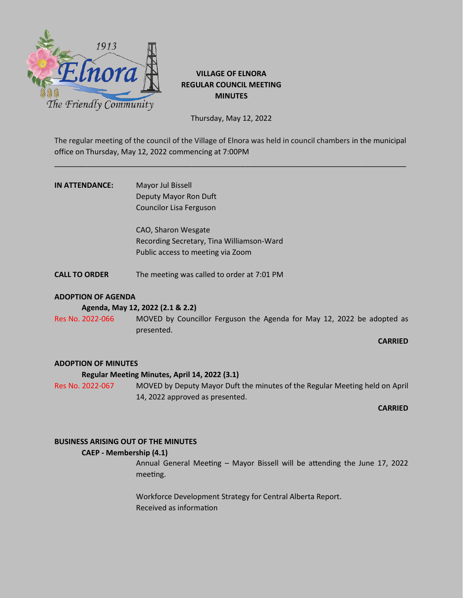

# **VILLAGE OF ELNORA REGULAR COUNCIL MEETING MINUTES**

Thursday, May 12, 2022

The regular meeting of the council of the Village of Elnora was held in council chambers in the municipal office on Thursday, May 12, 2022 commencing at 7:00PM

\_\_\_\_\_\_\_\_\_\_\_\_\_\_\_\_\_\_\_\_\_\_\_\_\_\_\_\_\_\_\_\_\_\_\_\_\_\_\_\_\_\_\_\_\_\_\_\_\_\_\_\_\_\_\_\_\_\_\_\_\_\_\_\_\_\_\_\_\_\_\_\_\_\_\_\_\_\_\_\_\_\_\_\_\_

| IN ATTENDANCE: | Mayor Jul Bissell       |
|----------------|-------------------------|
|                | Deputy Mayor Ron Duft   |
|                | Councilor Lisa Ferguson |

CAO, Sharon Wesgate Recording Secretary, Tina Williamson-Ward Public access to meeting via Zoom

**CALL TO ORDER** The meeting was called to order at 7:01 PM

# **ADOPTION OF AGENDA**

**Agenda, May 12, 2022 (2.1 & 2.2)**

Res No. 2022-066 MOVED by Councillor Ferguson the Agenda for May 12, 2022 be adopted as presented.

# **CARRIED**

# **ADOPTION OF MINUTES**

# **Regular Meeting Minutes, April 14, 2022 (3.1)**

Res No. 2022-067 MOVED by Deputy Mayor Duft the minutes of the Regular Meeting held on April 14, 2022 approved as presented.

**CARRIED**

# **BUSINESS ARISING OUT OF THE MINUTES**

# **CAEP - Membership (4.1)**

Annual General Meeting – Mayor Bissell will be attending the June 17, 2022 meeting.

Workforce Development Strategy for Central Alberta Report. Received as information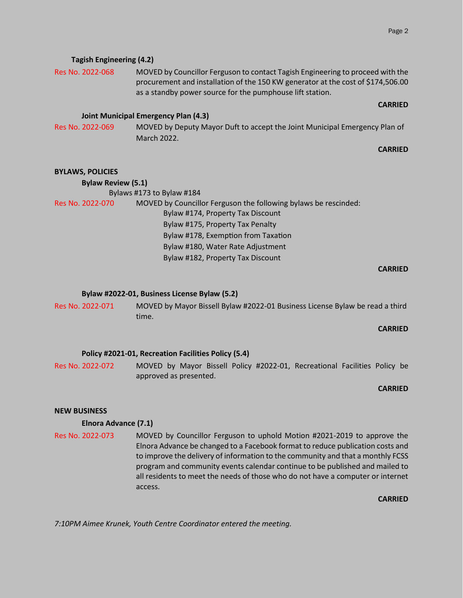| Res No. 2022-068          | MOVED by Councillor Ferguson to contact Tagish Engineering to proceed with the<br>procurement and installation of the 150 KW generator at the cost of \$174,506.00<br>as a standby power source for the pumphouse lift station. |  |
|---------------------------|---------------------------------------------------------------------------------------------------------------------------------------------------------------------------------------------------------------------------------|--|
|                           | <b>CARRIED</b>                                                                                                                                                                                                                  |  |
|                           | <b>Joint Municipal Emergency Plan (4.3)</b>                                                                                                                                                                                     |  |
| Res No. 2022-069          | MOVED by Deputy Mayor Duft to accept the Joint Municipal Emergency Plan of                                                                                                                                                      |  |
|                           | March 2022.                                                                                                                                                                                                                     |  |
|                           | <b>CARRIED</b>                                                                                                                                                                                                                  |  |
|                           |                                                                                                                                                                                                                                 |  |
| <b>BYLAWS, POLICIES</b>   |                                                                                                                                                                                                                                 |  |
| <b>Bylaw Review (5.1)</b> |                                                                                                                                                                                                                                 |  |

|                  | Bylaws #173 to Bylaw #184                                       |
|------------------|-----------------------------------------------------------------|
| Res No. 2022-070 | MOVED by Councillor Ferguson the following bylaws be rescinded: |
|                  | Bylaw #174, Property Tax Discount                               |
|                  | Bylaw #175, Property Tax Penalty                                |
|                  | Bylaw #178, Exemption from Taxation                             |
|                  | Bylaw #180, Water Rate Adjustment                               |
|                  | Bylaw #182, Property Tax Discount                               |
|                  |                                                                 |

#### **CARRIED**

### **Bylaw #2022-01, Business License Bylaw (5.2)**

Res No. 2022-071 MOVED by Mayor Bissell Bylaw #2022-01 Business License Bylaw be read a third time.

#### **CARRIED**

### **Policy #2021-01, Recreation Facilities Policy (5.4)**

Res No. 2022-072 MOVED by Mayor Bissell Policy #2022-01, Recreational Facilities Policy be approved as presented.

#### **CARRIED**

### **NEW BUSINESS**

# **Elnora Advance (7.1)**

**Tagish Engineering (4.2)**

Res No. 2022-073 MOVED by Councillor Ferguson to uphold Motion #2021-2019 to approve the Elnora Advance be changed to a Facebook format to reduce publication costs and to improve the delivery of information to the community and that a monthly FCSS program and community events calendar continue to be published and mailed to all residents to meet the needs of those who do not have a computer or internet access.

**CARRIED**

*7:10PM Aimee Krunek, Youth Centre Coordinator entered the meeting.*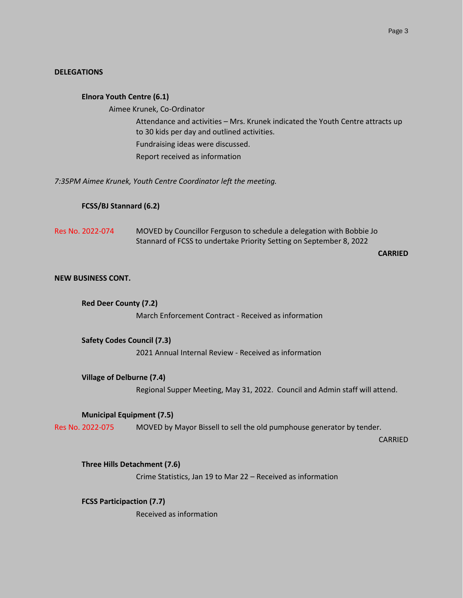### **DELEGATIONS**

#### **Elnora Youth Centre (6.1)**

Aimee Krunek, Co-Ordinator

Attendance and activities – Mrs. Krunek indicated the Youth Centre attracts up to 30 kids per day and outlined activities. Fundraising ideas were discussed. Report received as information

*7:35PM Aimee Krunek, Youth Centre Coordinator left the meeting.*

#### **FCSS/BJ Stannard (6.2)**

Res No. 2022-074 MOVED by Councillor Ferguson to schedule a delegation with Bobbie Jo Stannard of FCSS to undertake Priority Setting on September 8, 2022

#### **CARRIED**

### **NEW BUSINESS CONT.**

 **Red Deer County (7.2)** March Enforcement Contract - Received as information

 **Safety Codes Council (7.3)** 2021 Annual Internal Review - Received as information

### **Village of Delburne (7.4)**

Regional Supper Meeting, May 31, 2022. Council and Admin staff will attend.

### **Municipal Equipment (7.5)**

Res No. 2022-075 MOVED by Mayor Bissell to sell the old pumphouse generator by tender.

CARRIED

**Three Hills Detachment (7.6)**

Crime Statistics, Jan 19 to Mar 22 – Received as information

**FCSS Participaction (7.7)** Received as information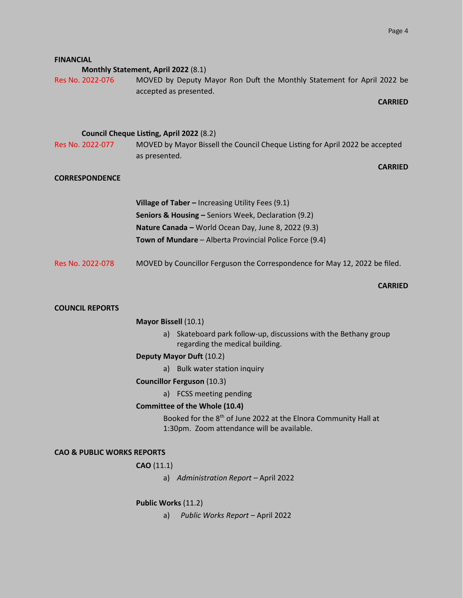| <b>FINANCIAL</b>                      |                                                                                                                                         |  |
|---------------------------------------|-----------------------------------------------------------------------------------------------------------------------------------------|--|
| Res No. 2022-076                      | Monthly Statement, April 2022 (8.1)<br>MOVED by Deputy Mayor Ron Duft the Monthly Statement for April 2022 be<br>accepted as presented. |  |
|                                       | <b>CARRIED</b>                                                                                                                          |  |
|                                       |                                                                                                                                         |  |
|                                       | Council Cheque Listing, April 2022 (8.2)                                                                                                |  |
| Res No. 2022-077                      | MOVED by Mayor Bissell the Council Cheque Listing for April 2022 be accepted<br>as presented.                                           |  |
|                                       | <b>CARRIED</b>                                                                                                                          |  |
| <b>CORRESPONDENCE</b>                 |                                                                                                                                         |  |
|                                       |                                                                                                                                         |  |
|                                       | Village of Taber - Increasing Utility Fees (9.1)                                                                                        |  |
|                                       | Seniors & Housing - Seniors Week, Declaration (9.2)                                                                                     |  |
|                                       | Nature Canada - World Ocean Day, June 8, 2022 (9.3)                                                                                     |  |
|                                       | Town of Mundare - Alberta Provincial Police Force (9.4)                                                                                 |  |
|                                       |                                                                                                                                         |  |
| Res No. 2022-078                      | MOVED by Councillor Ferguson the Correspondence for May 12, 2022 be filed.                                                              |  |
|                                       | <b>CARRIED</b>                                                                                                                          |  |
| <b>COUNCIL REPORTS</b>                |                                                                                                                                         |  |
|                                       |                                                                                                                                         |  |
|                                       | Mayor Bissell (10.1)                                                                                                                    |  |
|                                       | Skateboard park follow-up, discussions with the Bethany group<br>a)<br>regarding the medical building.                                  |  |
|                                       | Deputy Mayor Duft (10.2)                                                                                                                |  |
|                                       | a) Bulk water station inquiry                                                                                                           |  |
|                                       | <b>Councillor Ferguson (10.3)</b>                                                                                                       |  |
|                                       | a) FCSS meeting pending                                                                                                                 |  |
|                                       | <b>Committee of the Whole (10.4)</b>                                                                                                    |  |
|                                       | Booked for the 8 <sup>th</sup> of June 2022 at the Elnora Community Hall at<br>1:30pm. Zoom attendance will be available.               |  |
| <b>CAO &amp; PUBLIC WORKS REPORTS</b> |                                                                                                                                         |  |
|                                       | CAO(11.1)                                                                                                                               |  |
|                                       | a) Administration Report - April 2022                                                                                                   |  |
| Public Works (11.2)                   |                                                                                                                                         |  |
|                                       | Public Works Report - April 2022<br>a)                                                                                                  |  |
|                                       |                                                                                                                                         |  |

**FINANCIAL**